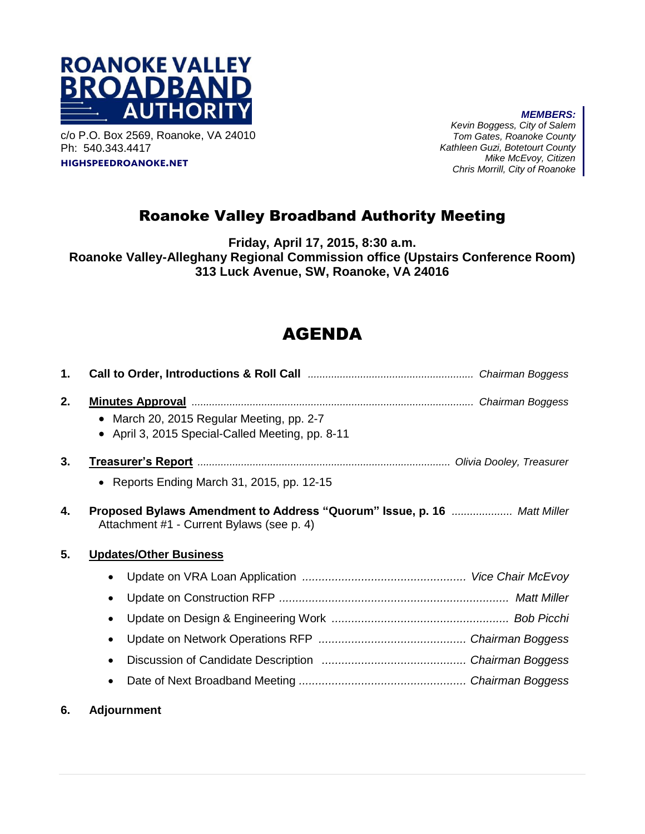

c/o P.O. Box 2569, Roanoke, VA 24010 Ph: 540.343.4417 **highspeedroanoke.net**

*MEMBERS: Kevin Boggess, City of Salem Tom Gates, Roanoke County Kathleen Guzi, Botetourt County Mike McEvoy, Citizen Chris Morrill, City of Roanoke*

## Roanoke Valley Broadband Authority Meeting

**Friday, April 17, 2015, 8:30 a.m. Roanoke Valley-Alleghany Regional Commission office (Upstairs Conference Room) 313 Luck Avenue, SW, Roanoke, VA 24016**

## AGENDA

| 1. |                                                                                                                         |
|----|-------------------------------------------------------------------------------------------------------------------------|
| 2. | • March 20, 2015 Regular Meeting, pp. 2-7<br>April 3, 2015 Special-Called Meeting, pp. 8-11<br>$\bullet$                |
| 3. | Treasurer's Report <b>Election Constructs</b> on Olivia Dooley, Treasurer<br>• Reports Ending March 31, 2015, pp. 12-15 |
| 4. | Proposed Bylaws Amendment to Address "Quorum" Issue, p. 16  Matt Miller<br>Attachment #1 - Current Bylaws (see p. 4)    |
| 5. | <b>Updates/Other Business</b>                                                                                           |
|    |                                                                                                                         |
|    | $\bullet$                                                                                                               |
|    | $\bullet$                                                                                                               |
|    | $\bullet$                                                                                                               |
|    | $\bullet$                                                                                                               |
|    |                                                                                                                         |
|    |                                                                                                                         |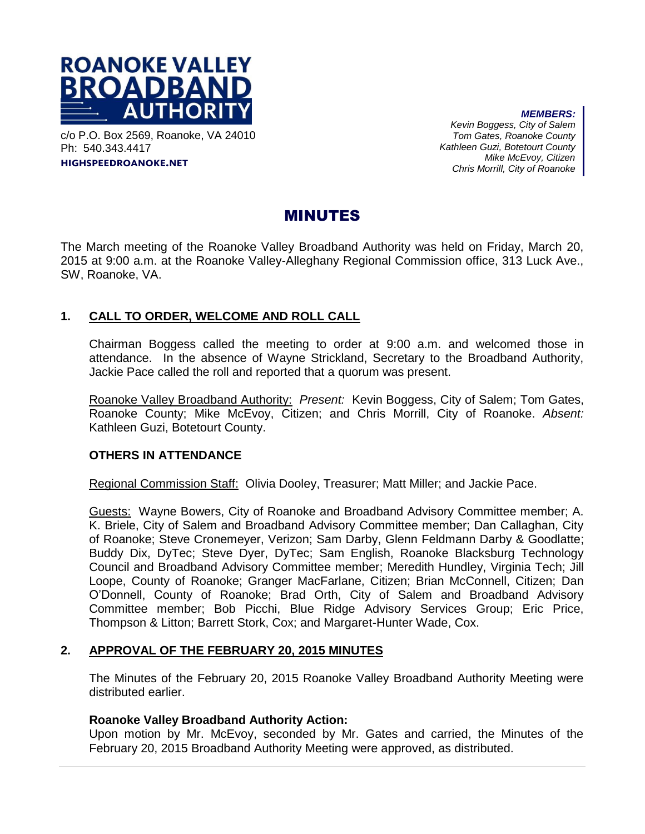

c/o P.O. Box 2569, Roanoke, VA 24010 Ph: 540.343.4417 **highspeedroanoke.net**

*MEMBERS: Kevin Boggess, City of Salem Tom Gates, Roanoke County Kathleen Guzi, Botetourt County Mike McEvoy, Citizen Chris Morrill, City of Roanoke*

### MINUTES

The March meeting of the Roanoke Valley Broadband Authority was held on Friday, March 20, 2015 at 9:00 a.m. at the Roanoke Valley-Alleghany Regional Commission office, 313 Luck Ave., SW, Roanoke, VA.

#### **1. CALL TO ORDER, WELCOME AND ROLL CALL**

Chairman Boggess called the meeting to order at 9:00 a.m. and welcomed those in attendance. In the absence of Wayne Strickland, Secretary to the Broadband Authority, Jackie Pace called the roll and reported that a quorum was present.

Roanoke Valley Broadband Authority: *Present:* Kevin Boggess, City of Salem; Tom Gates, Roanoke County; Mike McEvoy, Citizen; and Chris Morrill, City of Roanoke. *Absent:* Kathleen Guzi, Botetourt County.

#### **OTHERS IN ATTENDANCE**

Regional Commission Staff: Olivia Dooley, Treasurer; Matt Miller; and Jackie Pace.

Guests: Wayne Bowers, City of Roanoke and Broadband Advisory Committee member; A. K. Briele, City of Salem and Broadband Advisory Committee member; Dan Callaghan, City of Roanoke; Steve Cronemeyer, Verizon; Sam Darby, Glenn Feldmann Darby & Goodlatte; Buddy Dix, DyTec; Steve Dyer, DyTec; Sam English, Roanoke Blacksburg Technology Council and Broadband Advisory Committee member; Meredith Hundley, Virginia Tech; Jill Loope, County of Roanoke; Granger MacFarlane, Citizen; Brian McConnell, Citizen; Dan O'Donnell, County of Roanoke; Brad Orth, City of Salem and Broadband Advisory Committee member; Bob Picchi, Blue Ridge Advisory Services Group; Eric Price, Thompson & Litton; Barrett Stork, Cox; and Margaret-Hunter Wade, Cox.

#### **2. APPROVAL OF THE FEBRUARY 20, 2015 MINUTES**

The Minutes of the February 20, 2015 Roanoke Valley Broadband Authority Meeting were distributed earlier.

#### **Roanoke Valley Broadband Authority Action:**

Upon motion by Mr. McEvoy, seconded by Mr. Gates and carried, the Minutes of the February 20, 2015 Broadband Authority Meeting were approved, as distributed.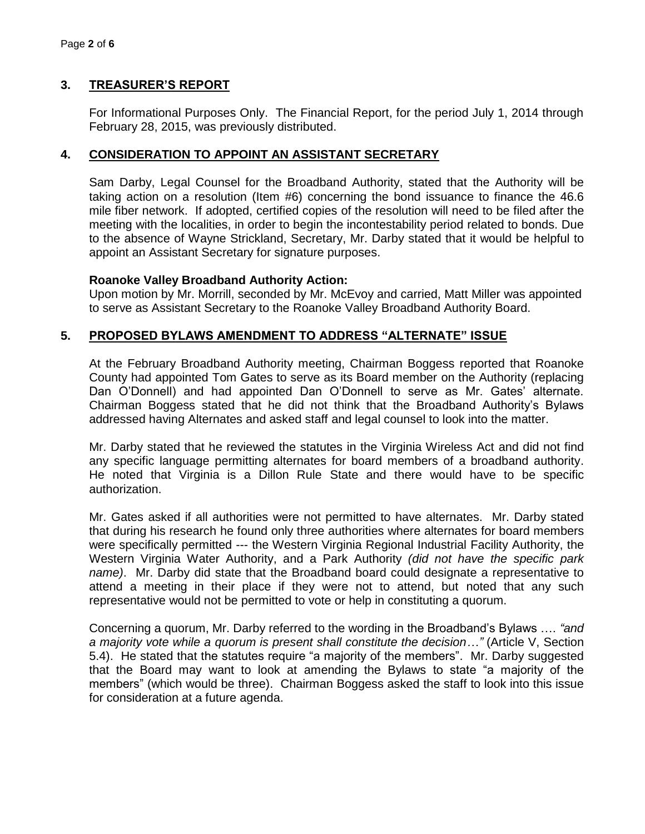#### **3. TREASURER'S REPORT**

For Informational Purposes Only. The Financial Report, for the period July 1, 2014 through February 28, 2015, was previously distributed.

#### **4. CONSIDERATION TO APPOINT AN ASSISTANT SECRETARY**

Sam Darby, Legal Counsel for the Broadband Authority, stated that the Authority will be taking action on a resolution (Item #6) concerning the bond issuance to finance the 46.6 mile fiber network. If adopted, certified copies of the resolution will need to be filed after the meeting with the localities, in order to begin the incontestability period related to bonds. Due to the absence of Wayne Strickland, Secretary, Mr. Darby stated that it would be helpful to appoint an Assistant Secretary for signature purposes.

#### **Roanoke Valley Broadband Authority Action:**

Upon motion by Mr. Morrill, seconded by Mr. McEvoy and carried, Matt Miller was appointed to serve as Assistant Secretary to the Roanoke Valley Broadband Authority Board.

#### **5. PROPOSED BYLAWS AMENDMENT TO ADDRESS "ALTERNATE" ISSUE**

At the February Broadband Authority meeting, Chairman Boggess reported that Roanoke County had appointed Tom Gates to serve as its Board member on the Authority (replacing Dan O'Donnell) and had appointed Dan O'Donnell to serve as Mr. Gates' alternate. Chairman Boggess stated that he did not think that the Broadband Authority's Bylaws addressed having Alternates and asked staff and legal counsel to look into the matter.

Mr. Darby stated that he reviewed the statutes in the Virginia Wireless Act and did not find any specific language permitting alternates for board members of a broadband authority. He noted that Virginia is a Dillon Rule State and there would have to be specific authorization.

Mr. Gates asked if all authorities were not permitted to have alternates. Mr. Darby stated that during his research he found only three authorities where alternates for board members were specifically permitted --- the Western Virginia Regional Industrial Facility Authority, the Western Virginia Water Authority, and a Park Authority *(did not have the specific park name)*. Mr. Darby did state that the Broadband board could designate a representative to attend a meeting in their place if they were not to attend, but noted that any such representative would not be permitted to vote or help in constituting a quorum.

Concerning a quorum, Mr. Darby referred to the wording in the Broadband's Bylaws …. *"and a majority vote while a quorum is present shall constitute the decision…"* (Article V, Section 5.4). He stated that the statutes require "a majority of the members". Mr. Darby suggested that the Board may want to look at amending the Bylaws to state "a majority of the members" (which would be three). Chairman Boggess asked the staff to look into this issue for consideration at a future agenda.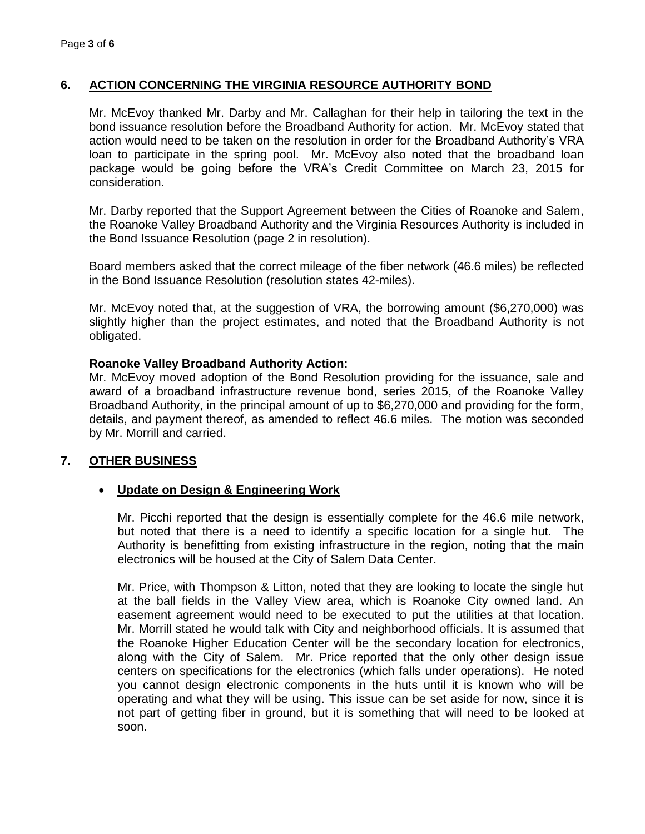#### **6. ACTION CONCERNING THE VIRGINIA RESOURCE AUTHORITY BOND**

Mr. McEvoy thanked Mr. Darby and Mr. Callaghan for their help in tailoring the text in the bond issuance resolution before the Broadband Authority for action. Mr. McEvoy stated that action would need to be taken on the resolution in order for the Broadband Authority's VRA loan to participate in the spring pool. Mr. McEvoy also noted that the broadband loan package would be going before the VRA's Credit Committee on March 23, 2015 for consideration.

Mr. Darby reported that the Support Agreement between the Cities of Roanoke and Salem, the Roanoke Valley Broadband Authority and the Virginia Resources Authority is included in the Bond Issuance Resolution (page 2 in resolution).

Board members asked that the correct mileage of the fiber network (46.6 miles) be reflected in the Bond Issuance Resolution (resolution states 42-miles).

Mr. McEvoy noted that, at the suggestion of VRA, the borrowing amount (\$6,270,000) was slightly higher than the project estimates, and noted that the Broadband Authority is not obligated.

#### **Roanoke Valley Broadband Authority Action:**

Mr. McEvoy moved adoption of the Bond Resolution providing for the issuance, sale and award of a broadband infrastructure revenue bond, series 2015, of the Roanoke Valley Broadband Authority, in the principal amount of up to \$6,270,000 and providing for the form, details, and payment thereof, as amended to reflect 46.6 miles. The motion was seconded by Mr. Morrill and carried.

#### **7. OTHER BUSINESS**

#### **Update on Design & Engineering Work**

Mr. Picchi reported that the design is essentially complete for the 46.6 mile network, but noted that there is a need to identify a specific location for a single hut. The Authority is benefitting from existing infrastructure in the region, noting that the main electronics will be housed at the City of Salem Data Center.

Mr. Price, with Thompson & Litton, noted that they are looking to locate the single hut at the ball fields in the Valley View area, which is Roanoke City owned land. An easement agreement would need to be executed to put the utilities at that location. Mr. Morrill stated he would talk with City and neighborhood officials. It is assumed that the Roanoke Higher Education Center will be the secondary location for electronics, along with the City of Salem. Mr. Price reported that the only other design issue centers on specifications for the electronics (which falls under operations). He noted you cannot design electronic components in the huts until it is known who will be operating and what they will be using. This issue can be set aside for now, since it is not part of getting fiber in ground, but it is something that will need to be looked at soon.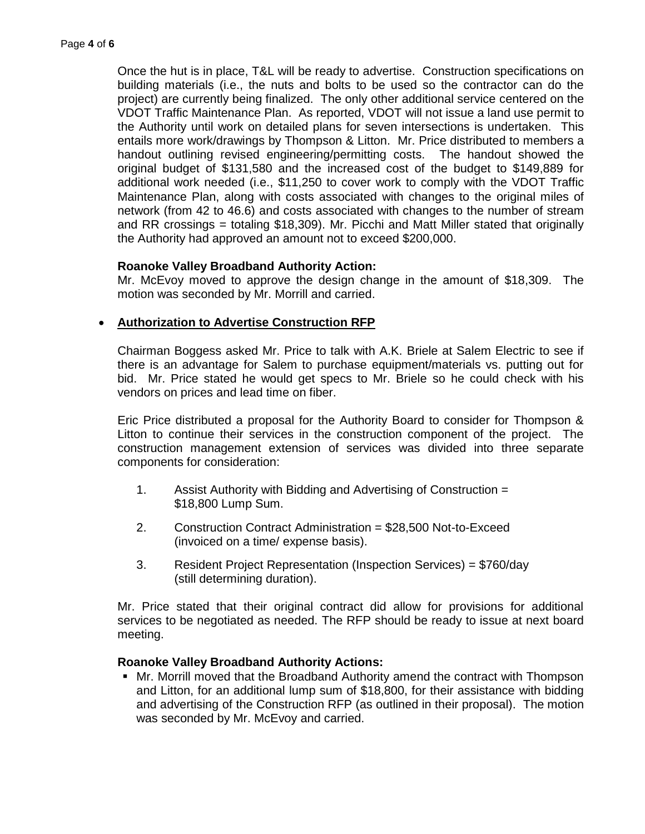Once the hut is in place, T&L will be ready to advertise. Construction specifications on building materials (i.e., the nuts and bolts to be used so the contractor can do the project) are currently being finalized. The only other additional service centered on the VDOT Traffic Maintenance Plan. As reported, VDOT will not issue a land use permit to the Authority until work on detailed plans for seven intersections is undertaken. This entails more work/drawings by Thompson & Litton. Mr. Price distributed to members a handout outlining revised engineering/permitting costs. The handout showed the original budget of \$131,580 and the increased cost of the budget to \$149,889 for additional work needed (i.e., \$11,250 to cover work to comply with the VDOT Traffic Maintenance Plan, along with costs associated with changes to the original miles of network (from 42 to 46.6) and costs associated with changes to the number of stream and RR crossings = totaling \$18,309). Mr. Picchi and Matt Miller stated that originally the Authority had approved an amount not to exceed \$200,000.

#### **Roanoke Valley Broadband Authority Action:**

Mr. McEvoy moved to approve the design change in the amount of \$18,309. The motion was seconded by Mr. Morrill and carried.

#### **Authorization to Advertise Construction RFP**

Chairman Boggess asked Mr. Price to talk with A.K. Briele at Salem Electric to see if there is an advantage for Salem to purchase equipment/materials vs. putting out for bid. Mr. Price stated he would get specs to Mr. Briele so he could check with his vendors on prices and lead time on fiber.

Eric Price distributed a proposal for the Authority Board to consider for Thompson & Litton to continue their services in the construction component of the project. The construction management extension of services was divided into three separate components for consideration:

- 1. Assist Authority with Bidding and Advertising of Construction = \$18,800 Lump Sum.
- 2. Construction Contract Administration = \$28,500 Not-to-Exceed (invoiced on a time/ expense basis).
- 3. Resident Project Representation (Inspection Services) = \$760/day (still determining duration).

Mr. Price stated that their original contract did allow for provisions for additional services to be negotiated as needed. The RFP should be ready to issue at next board meeting.

#### **Roanoke Valley Broadband Authority Actions:**

 Mr. Morrill moved that the Broadband Authority amend the contract with Thompson and Litton, for an additional lump sum of \$18,800, for their assistance with bidding and advertising of the Construction RFP (as outlined in their proposal). The motion was seconded by Mr. McEvoy and carried.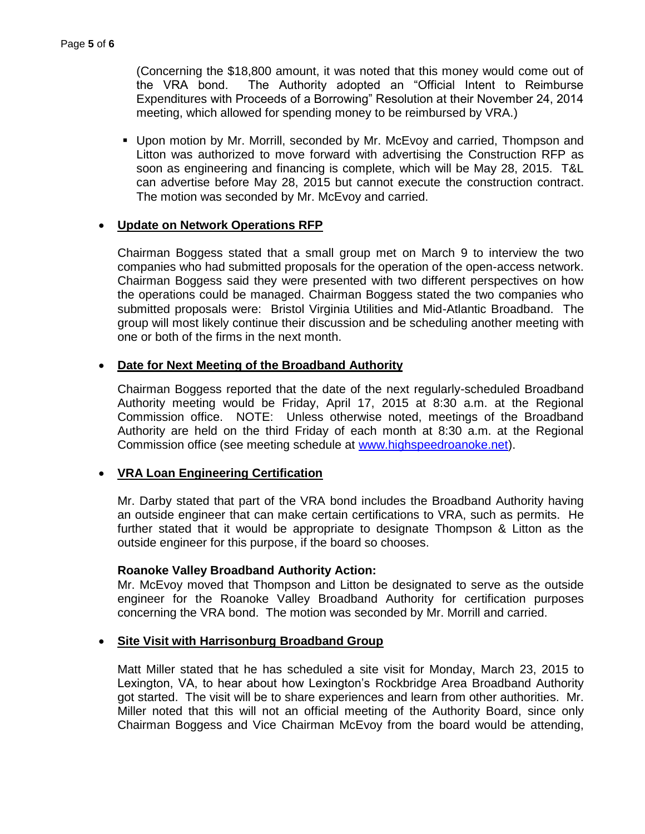(Concerning the \$18,800 amount, it was noted that this money would come out of the VRA bond. The Authority adopted an "Official Intent to Reimburse Expenditures with Proceeds of a Borrowing" Resolution at their November 24, 2014 meeting, which allowed for spending money to be reimbursed by VRA.)

 Upon motion by Mr. Morrill, seconded by Mr. McEvoy and carried, Thompson and Litton was authorized to move forward with advertising the Construction RFP as soon as engineering and financing is complete, which will be May 28, 2015. T&L can advertise before May 28, 2015 but cannot execute the construction contract. The motion was seconded by Mr. McEvoy and carried.

#### **Update on Network Operations RFP**

Chairman Boggess stated that a small group met on March 9 to interview the two companies who had submitted proposals for the operation of the open-access network. Chairman Boggess said they were presented with two different perspectives on how the operations could be managed. Chairman Boggess stated the two companies who submitted proposals were: Bristol Virginia Utilities and Mid-Atlantic Broadband. The group will most likely continue their discussion and be scheduling another meeting with one or both of the firms in the next month.

#### **Date for Next Meeting of the Broadband Authority**

Chairman Boggess reported that the date of the next regularly-scheduled Broadband Authority meeting would be Friday, April 17, 2015 at 8:30 a.m. at the Regional Commission office. NOTE: Unless otherwise noted, meetings of the Broadband Authority are held on the third Friday of each month at 8:30 a.m. at the Regional Commission office (see meeting schedule at [www.highspeedroanoke.net\)](http://www.highspeedroanoke.net/).

#### **VRA Loan Engineering Certification**

Mr. Darby stated that part of the VRA bond includes the Broadband Authority having an outside engineer that can make certain certifications to VRA, such as permits. He further stated that it would be appropriate to designate Thompson & Litton as the outside engineer for this purpose, if the board so chooses.

#### **Roanoke Valley Broadband Authority Action:**

Mr. McEvoy moved that Thompson and Litton be designated to serve as the outside engineer for the Roanoke Valley Broadband Authority for certification purposes concerning the VRA bond. The motion was seconded by Mr. Morrill and carried.

#### **Site Visit with Harrisonburg Broadband Group**

Matt Miller stated that he has scheduled a site visit for Monday, March 23, 2015 to Lexington, VA, to hear about how Lexington's Rockbridge Area Broadband Authority got started. The visit will be to share experiences and learn from other authorities. Mr. Miller noted that this will not an official meeting of the Authority Board, since only Chairman Boggess and Vice Chairman McEvoy from the board would be attending,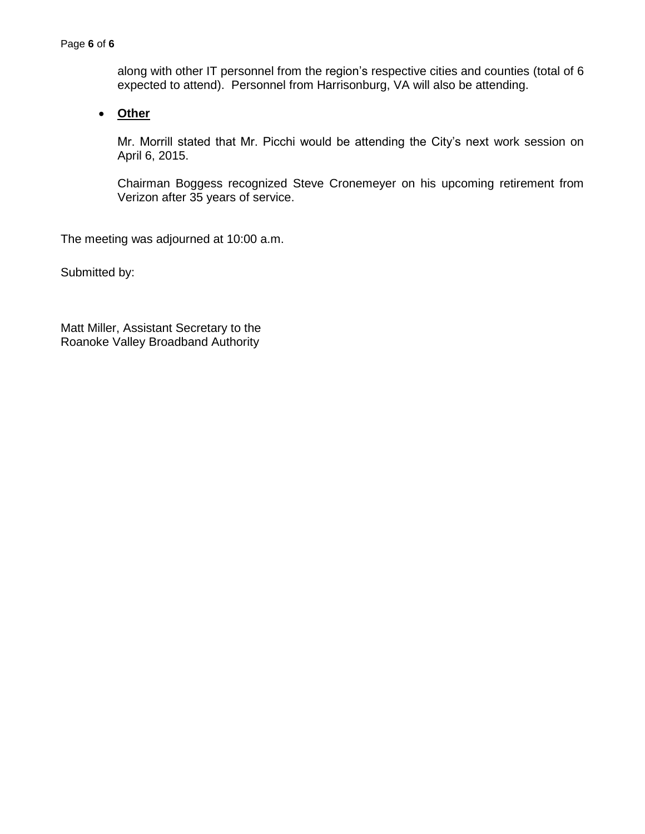along with other IT personnel from the region's respective cities and counties (total of 6 expected to attend). Personnel from Harrisonburg, VA will also be attending.

**Other**

Mr. Morrill stated that Mr. Picchi would be attending the City's next work session on April 6, 2015.

Chairman Boggess recognized Steve Cronemeyer on his upcoming retirement from Verizon after 35 years of service.

The meeting was adjourned at 10:00 a.m.

Submitted by:

Matt Miller, Assistant Secretary to the Roanoke Valley Broadband Authority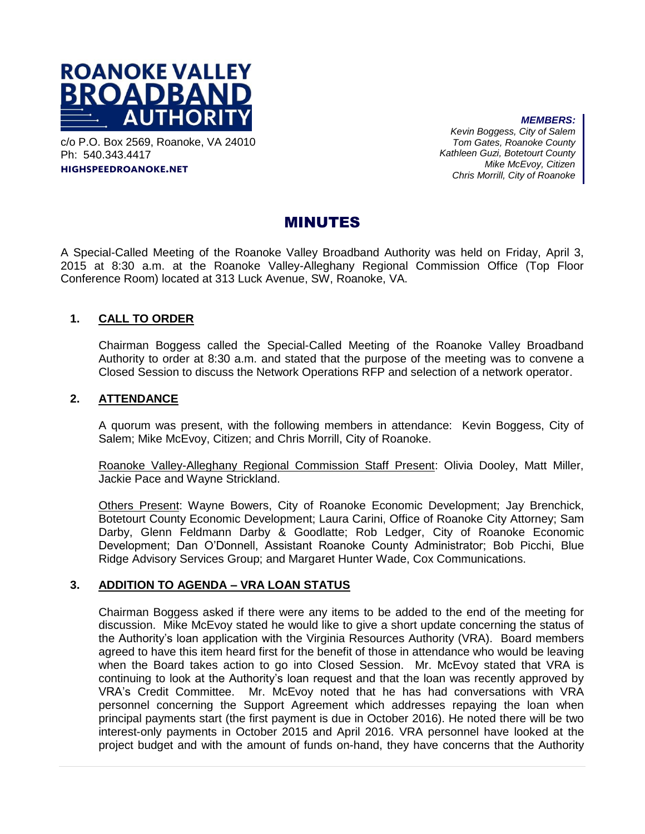

c/o P.O. Box 2569, Roanoke, VA 24010 Ph: 540.343.4417

**highspeedroanoke.net**

*MEMBERS: Kevin Boggess, City of Salem Tom Gates, Roanoke County Kathleen Guzi, Botetourt County Mike McEvoy, Citizen Chris Morrill, City of Roanoke*

#### MINUTES

A Special-Called Meeting of the Roanoke Valley Broadband Authority was held on Friday, April 3, 2015 at 8:30 a.m. at the Roanoke Valley-Alleghany Regional Commission Office (Top Floor Conference Room) located at 313 Luck Avenue, SW, Roanoke, VA.

#### **1. CALL TO ORDER**

Chairman Boggess called the Special-Called Meeting of the Roanoke Valley Broadband Authority to order at 8:30 a.m. and stated that the purpose of the meeting was to convene a Closed Session to discuss the Network Operations RFP and selection of a network operator.

#### **2. ATTENDANCE**

A quorum was present, with the following members in attendance: Kevin Boggess, City of Salem; Mike McEvoy, Citizen; and Chris Morrill, City of Roanoke.

Roanoke Valley-Alleghany Regional Commission Staff Present: Olivia Dooley, Matt Miller, Jackie Pace and Wayne Strickland.

Others Present: Wayne Bowers, City of Roanoke Economic Development; Jay Brenchick, Botetourt County Economic Development; Laura Carini, Office of Roanoke City Attorney; Sam Darby, Glenn Feldmann Darby & Goodlatte; Rob Ledger, City of Roanoke Economic Development; Dan O'Donnell, Assistant Roanoke County Administrator; Bob Picchi, Blue Ridge Advisory Services Group; and Margaret Hunter Wade, Cox Communications.

#### **3. ADDITION TO AGENDA – VRA LOAN STATUS**

Chairman Boggess asked if there were any items to be added to the end of the meeting for discussion. Mike McEvoy stated he would like to give a short update concerning the status of the Authority's loan application with the Virginia Resources Authority (VRA). Board members agreed to have this item heard first for the benefit of those in attendance who would be leaving when the Board takes action to go into Closed Session. Mr. McEvoy stated that VRA is continuing to look at the Authority's loan request and that the loan was recently approved by VRA's Credit Committee. Mr. McEvoy noted that he has had conversations with VRA personnel concerning the Support Agreement which addresses repaying the loan when principal payments start (the first payment is due in October 2016). He noted there will be two interest-only payments in October 2015 and April 2016. VRA personnel have looked at the project budget and with the amount of funds on-hand, they have concerns that the Authority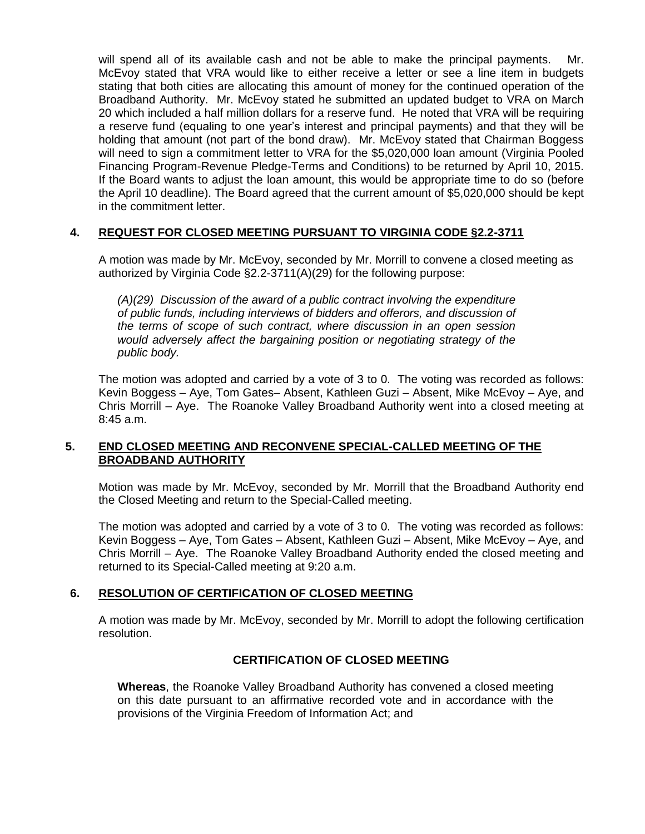will spend all of its available cash and not be able to make the principal payments. Mr. McEvoy stated that VRA would like to either receive a letter or see a line item in budgets stating that both cities are allocating this amount of money for the continued operation of the Broadband Authority. Mr. McEvoy stated he submitted an updated budget to VRA on March 20 which included a half million dollars for a reserve fund. He noted that VRA will be requiring a reserve fund (equaling to one year's interest and principal payments) and that they will be holding that amount (not part of the bond draw). Mr. McEvoy stated that Chairman Boggess will need to sign a commitment letter to VRA for the \$5,020,000 loan amount (Virginia Pooled Financing Program-Revenue Pledge-Terms and Conditions) to be returned by April 10, 2015. If the Board wants to adjust the loan amount, this would be appropriate time to do so (before the April 10 deadline). The Board agreed that the current amount of \$5,020,000 should be kept in the commitment letter.

#### **4. REQUEST FOR CLOSED MEETING PURSUANT TO VIRGINIA CODE §2.2-3711**

A motion was made by Mr. McEvoy, seconded by Mr. Morrill to convene a closed meeting as authorized by Virginia Code §2.2-3711(A)(29) for the following purpose:

*(A)(29) Discussion of the award of a public contract involving the expenditure of public funds, including interviews of bidders and offerors, and discussion of the terms of scope of such contract, where discussion in an open session would adversely affect the bargaining position or negotiating strategy of the public body.*

The motion was adopted and carried by a vote of 3 to 0. The voting was recorded as follows: Kevin Boggess – Aye, Tom Gates– Absent, Kathleen Guzi – Absent, Mike McEvoy – Aye, and Chris Morrill – Aye. The Roanoke Valley Broadband Authority went into a closed meeting at 8:45 a.m.

#### **5. END CLOSED MEETING AND RECONVENE SPECIAL-CALLED MEETING OF THE BROADBAND AUTHORITY**

Motion was made by Mr. McEvoy, seconded by Mr. Morrill that the Broadband Authority end the Closed Meeting and return to the Special-Called meeting.

The motion was adopted and carried by a vote of 3 to 0. The voting was recorded as follows: Kevin Boggess – Aye, Tom Gates – Absent, Kathleen Guzi – Absent, Mike McEvoy – Aye, and Chris Morrill – Aye. The Roanoke Valley Broadband Authority ended the closed meeting and returned to its Special-Called meeting at 9:20 a.m.

#### **6. RESOLUTION OF CERTIFICATION OF CLOSED MEETING**

A motion was made by Mr. McEvoy, seconded by Mr. Morrill to adopt the following certification resolution.

#### **CERTIFICATION OF CLOSED MEETING**

**Whereas**, the Roanoke Valley Broadband Authority has convened a closed meeting on this date pursuant to an affirmative recorded vote and in accordance with the provisions of the Virginia Freedom of Information Act; and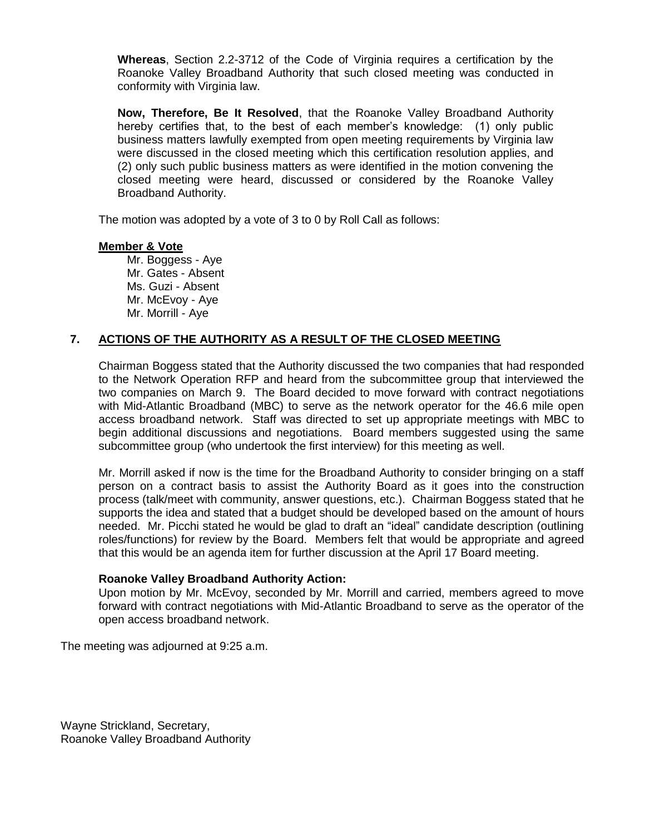**Whereas**, Section 2.2-3712 of the Code of Virginia requires a certification by the Roanoke Valley Broadband Authority that such closed meeting was conducted in conformity with Virginia law.

**Now, Therefore, Be It Resolved**, that the Roanoke Valley Broadband Authority hereby certifies that, to the best of each member's knowledge: (1) only public business matters lawfully exempted from open meeting requirements by Virginia law were discussed in the closed meeting which this certification resolution applies, and (2) only such public business matters as were identified in the motion convening the closed meeting were heard, discussed or considered by the Roanoke Valley Broadband Authority.

The motion was adopted by a vote of 3 to 0 by Roll Call as follows:

#### **Member & Vote**

Mr. Boggess - Aye Mr. Gates - Absent Ms. Guzi - Absent Mr. McEvoy - Aye Mr. Morrill - Aye

#### **7. ACTIONS OF THE AUTHORITY AS A RESULT OF THE CLOSED MEETING**

Chairman Boggess stated that the Authority discussed the two companies that had responded to the Network Operation RFP and heard from the subcommittee group that interviewed the two companies on March 9. The Board decided to move forward with contract negotiations with Mid-Atlantic Broadband (MBC) to serve as the network operator for the 46.6 mile open access broadband network. Staff was directed to set up appropriate meetings with MBC to begin additional discussions and negotiations. Board members suggested using the same subcommittee group (who undertook the first interview) for this meeting as well.

Mr. Morrill asked if now is the time for the Broadband Authority to consider bringing on a staff person on a contract basis to assist the Authority Board as it goes into the construction process (talk/meet with community, answer questions, etc.). Chairman Boggess stated that he supports the idea and stated that a budget should be developed based on the amount of hours needed. Mr. Picchi stated he would be glad to draft an "ideal" candidate description (outlining roles/functions) for review by the Board. Members felt that would be appropriate and agreed that this would be an agenda item for further discussion at the April 17 Board meeting.

#### **Roanoke Valley Broadband Authority Action:**

Upon motion by Mr. McEvoy, seconded by Mr. Morrill and carried, members agreed to move forward with contract negotiations with Mid-Atlantic Broadband to serve as the operator of the open access broadband network.

The meeting was adjourned at 9:25 a.m.

Wayne Strickland, Secretary, Roanoke Valley Broadband Authority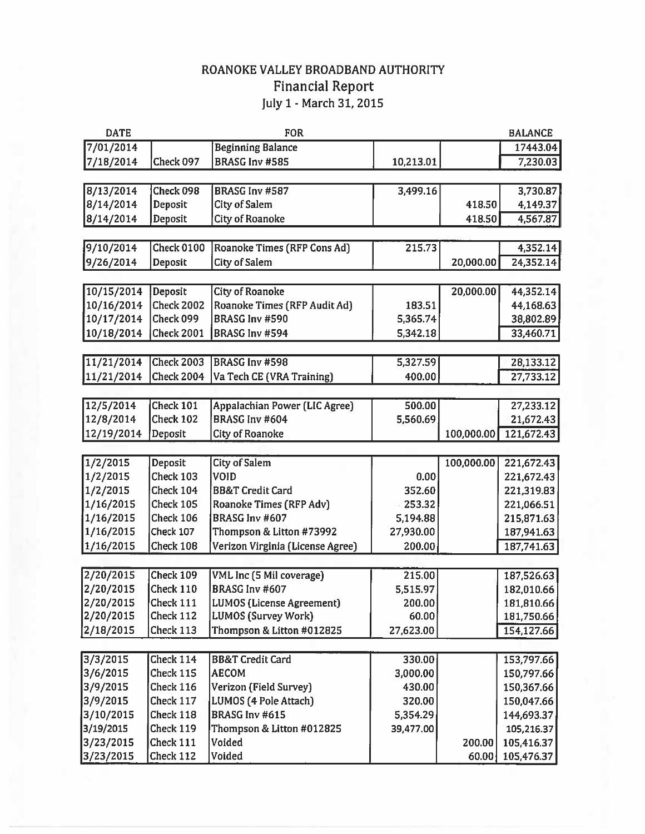# ROANOKE VALLEY BROADBAND AUTHORITY Financial Report<br>July 1 - March 31, 2015

| <b>DATE</b><br><b>FOR</b> |                   |                                  |           | <b>BALANCE</b> |            |
|---------------------------|-------------------|----------------------------------|-----------|----------------|------------|
| 7/01/2014                 |                   | <b>Beginning Balance</b>         |           |                | 17443.04   |
| 7/18/2014                 | Check 097         | <b>BRASG Inv #585</b>            | 10,213.01 |                | 7,230.03   |
|                           |                   |                                  |           |                |            |
| 8/13/2014                 | Check 098         | BRASG Inv #587                   | 3,499.16  |                | 3,730.87   |
| 8/14/2014                 | Deposit           | City of Salem                    |           | 418.50         | 4,149.37   |
| 8/14/2014                 | Deposit           | <b>City of Roanoke</b>           |           | 418.50         | 4,567.87   |
|                           |                   |                                  |           |                |            |
| 9/10/2014                 | <b>Check 0100</b> | Roanoke Times (RFP Cons Ad)      | 215.73    |                | 4,352.14   |
| 9/26/2014                 | Deposit           | <b>City of Salem</b>             |           | 20,000.00      | 24,352.14  |
|                           |                   |                                  |           |                |            |
| 10/15/2014                | Deposit           | <b>City of Roanoke</b>           |           | 20,000.00      | 44,352.14  |
| 10/16/2014                | <b>Check 2002</b> | Roanoke Times (RFP Audit Ad)     | 183.51    |                | 44,168.63  |
| 10/17/2014                | Check 099         | BRASG Inv #590                   | 5,365.74  |                | 38,802.89  |
| 10/18/2014                | <b>Check 2001</b> | BRASG Inv #594                   | 5,342.18  |                | 33,460.71  |
|                           |                   |                                  |           |                |            |
| 11/21/2014                | <b>Check 2003</b> | BRASG Inv #598                   | 5,327.59  |                | 28,133.12  |
| 11/21/2014                | <b>Check 2004</b> | Va Tech CE (VRA Training)        | 400.00    |                | 27,733.12  |
|                           |                   |                                  |           |                |            |
| 12/5/2014                 | Check 101         | Appalachian Power (LIC Agree)    | 500.00    |                | 27,233.12  |
| 12/8/2014                 | Check 102         | BRASG Inv #604                   | 5,560.69  |                | 21,672.43  |
| 12/19/2014                | Deposit           | City of Roanoke                  |           | 100,000.00     | 121,672.43 |
|                           |                   |                                  |           |                |            |
| 1/2/2015                  | Deposit           | <b>City of Salem</b>             |           | 100,000.00     | 221,672.43 |
| 1/2/2015                  | Check 103         | VOID                             | 0.00      |                | 221,672.43 |
| 1/2/2015                  | Check 104         | <b>BB&amp;T Credit Card</b>      | 352.60    |                | 221,319.83 |
| 1/16/2015                 | Check 105         | Roanoke Times (RFP Adv)          | 253.32    |                | 221,066.51 |
| 1/16/2015                 | Check 106         | BRASG Inv #607                   | 5,194.88  |                | 215,871.63 |
| 1/16/2015                 | Check 107         | Thompson & Litton #73992         | 27,930.00 |                | 187,941.63 |
| 1/16/2015                 | Check 108         | Verizon Virginia (License Agree) | 200.00    |                | 187,741.63 |
|                           |                   |                                  |           |                |            |
| 2/20/2015                 | Check 109         | <b>VML Inc (5 Mil coverage)</b>  | 215.00    |                | 187,526.63 |
| 2/20/2015                 | Check 110         | BRASG Inv #607                   | 5,515.97  |                | 182,010.66 |
| 2/20/2015                 | Check 111         | LUMOS (License Agreement)        | 200.00    |                | 181,810.66 |
| 2/20/2015                 | Check 112         | <b>LUMOS (Survey Work)</b>       | 60.00     |                | 181,750.66 |
| 2/18/2015                 | Check 113         | Thompson & Litton #012825        | 27,623.00 |                | 154,127.66 |
|                           |                   |                                  |           |                |            |
| 3/3/2015                  | Check 114         | <b>BB&amp;T</b> Credit Card      | 330.00    |                | 153,797.66 |
| 3/6/2015                  | Check 115         | <b>AECOM</b>                     | 3,000.00  |                | 150,797.66 |
| 3/9/2015                  | Check 116         | Verizon (Field Survey)           | 430.00    |                | 150,367.66 |
| 3/9/2015                  | Check 117         | LUMOS (4 Pole Attach)            | 320.00    |                | 150,047.66 |
| 3/10/2015                 | Check 118         | BRASG Inv #615                   | 5,354.29  |                | 144,693.37 |
| 3/19/2015                 | Check 119         | Thompson & Litton #012825        | 39,477.00 |                | 105,216.37 |
| 3/23/2015                 | Check 111         | Voided                           |           | 200.00         | 105,416.37 |
| 3/23/2015                 | Check 112         | Voided                           |           | 60.00          | 105,476.37 |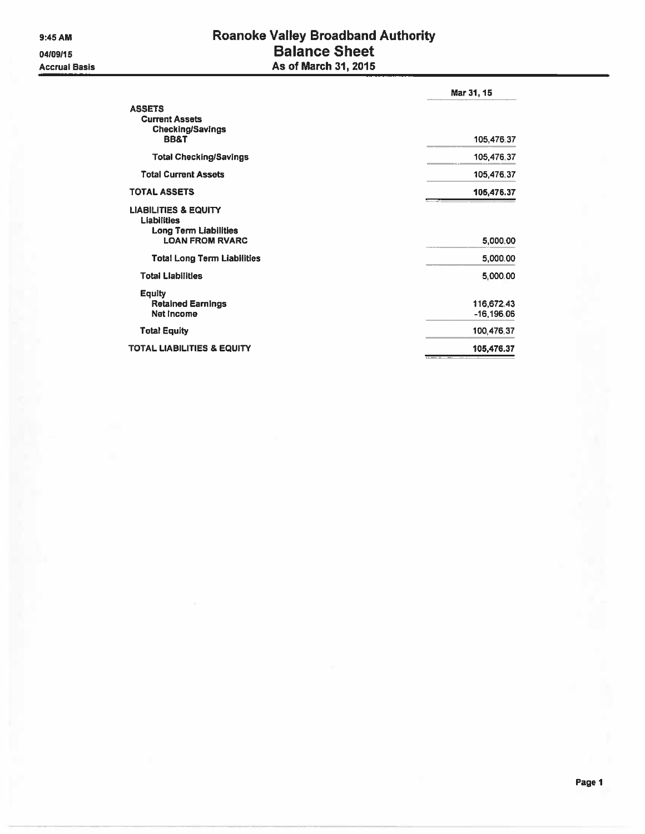04/09/15 **Accrual Basis** 

# Roanoke Valley Broadband Authority<br>Balance Sheet As of March 31, 2015

|                                                                                                          | Mar 31, 15               |
|----------------------------------------------------------------------------------------------------------|--------------------------|
| <b>ASSETS</b><br><b>Current Assets</b><br><b>Checking/Savings</b><br><b>BB&amp;T</b>                     | 105,476.37               |
| <b>Total Checking/Savings</b>                                                                            | 105,476.37               |
| <b>Total Current Assets</b>                                                                              | 105,476,37               |
| <b>TOTAL ASSETS</b>                                                                                      | 105,476.37               |
| <b>LIABILITIES &amp; EQUITY</b><br><b>Liabilities</b><br>Long Term Liabilities<br><b>LOAN FROM RVARC</b> | 5,000.00                 |
| <b>Total Long Term Liabilities</b>                                                                       | 5,000.00                 |
| <b>Total Liabilities</b>                                                                                 | 5,000.00                 |
| <b>Equity</b><br><b>Retained Earnings</b><br>Net income                                                  | 116,672.43<br>-16,196.06 |
| <b>Total Equity</b>                                                                                      | 100,476.37               |
| <b>TOTAL LIABILITIES &amp; EQUITY</b>                                                                    | 105,476.37               |